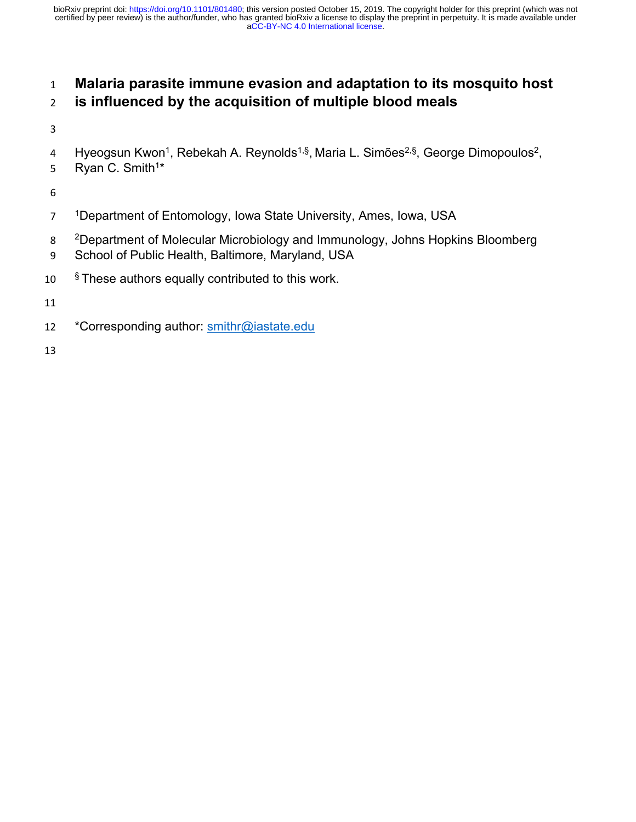# **Malaria parasite immune evasion and adaptation to its mosquito host**

# **is influenced by the acquisition of multiple blood meals**

- 
- 4 Hyeogsun Kwon<sup>1</sup>, Rebekah A. Reynolds<sup>1,§</sup>, Maria L. Simões<sup>2,§</sup>, George Dimopoulos<sup>2</sup>,
- 5 Ryan C. Smith<sup>1\*</sup>

- **1Department of Entomology, Iowa State University, Ames, Iowa, USA**
- 8 <sup>2</sup>Department of Molecular Microbiology and Immunology, Johns Hopkins Bloomberg
- School of Public Health, Baltimore, Maryland, USA
- **S** These authors equally contributed to this work.

**\*Corresponding author: smithr@iastate.edu**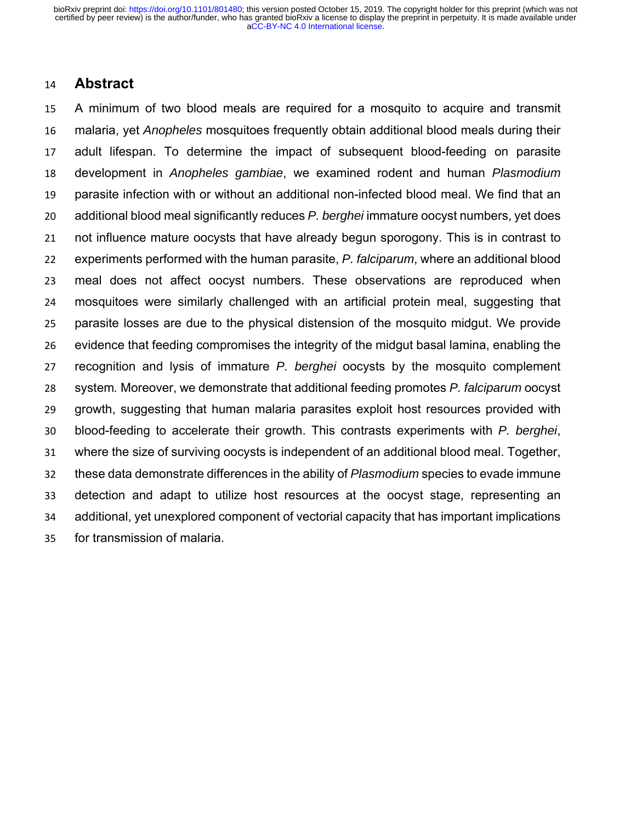# **Abstract**

 A minimum of two blood meals are required for a mosquito to acquire and transmit malaria, yet *Anopheles* mosquitoes frequently obtain additional blood meals during their adult lifespan. To determine the impact of subsequent blood-feeding on parasite development in *Anopheles gambiae*, we examined rodent and human *Plasmodium* parasite infection with or without an additional non-infected blood meal. We find that an additional blood meal significantly reduces *P. berghei* immature oocyst numbers, yet does not influence mature oocysts that have already begun sporogony. This is in contrast to experiments performed with the human parasite, *P. falciparum*, where an additional blood meal does not affect oocyst numbers. These observations are reproduced when mosquitoes were similarly challenged with an artificial protein meal, suggesting that parasite losses are due to the physical distension of the mosquito midgut. We provide evidence that feeding compromises the integrity of the midgut basal lamina, enabling the recognition and lysis of immature *P. berghei* oocysts by the mosquito complement system*.* Moreover, we demonstrate that additional feeding promotes *P. falciparum* oocyst growth, suggesting that human malaria parasites exploit host resources provided with blood-feeding to accelerate their growth. This contrasts experiments with *P. berghei*, where the size of surviving oocysts is independent of an additional blood meal. Together, these data demonstrate differences in the ability of *Plasmodium* species to evade immune detection and adapt to utilize host resources at the oocyst stage, representing an additional, yet unexplored component of vectorial capacity that has important implications for transmission of malaria.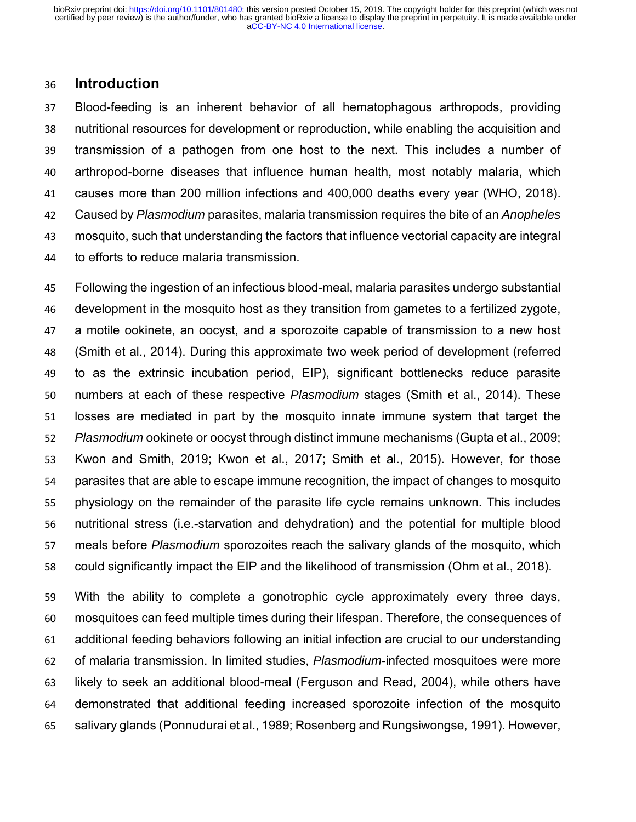# **Introduction**

 Blood-feeding is an inherent behavior of all hematophagous arthropods, providing nutritional resources for development or reproduction, while enabling the acquisition and transmission of a pathogen from one host to the next. This includes a number of arthropod-borne diseases that influence human health, most notably malaria, which causes more than 200 million infections and 400,000 deaths every year (WHO, 2018). Caused by *Plasmodium* parasites, malaria transmission requires the bite of an *Anopheles* mosquito, such that understanding the factors that influence vectorial capacity are integral to efforts to reduce malaria transmission.

 Following the ingestion of an infectious blood-meal, malaria parasites undergo substantial development in the mosquito host as they transition from gametes to a fertilized zygote, a motile ookinete, an oocyst, and a sporozoite capable of transmission to a new host (Smith et al., 2014). During this approximate two week period of development (referred to as the extrinsic incubation period, EIP), significant bottlenecks reduce parasite numbers at each of these respective *Plasmodium* stages (Smith et al., 2014). These losses are mediated in part by the mosquito innate immune system that target the *Plasmodium* ookinete or oocyst through distinct immune mechanisms (Gupta et al., 2009; Kwon and Smith, 2019; Kwon et al., 2017; Smith et al., 2015). However, for those parasites that are able to escape immune recognition, the impact of changes to mosquito physiology on the remainder of the parasite life cycle remains unknown. This includes nutritional stress (i.e.-starvation and dehydration) and the potential for multiple blood meals before *Plasmodium* sporozoites reach the salivary glands of the mosquito, which could significantly impact the EIP and the likelihood of transmission (Ohm et al., 2018).

 With the ability to complete a gonotrophic cycle approximately every three days, mosquitoes can feed multiple times during their lifespan. Therefore, the consequences of additional feeding behaviors following an initial infection are crucial to our understanding of malaria transmission. In limited studies, *Plasmodium*-infected mosquitoes were more likely to seek an additional blood-meal (Ferguson and Read, 2004), while others have demonstrated that additional feeding increased sporozoite infection of the mosquito salivary glands (Ponnudurai et al., 1989; Rosenberg and Rungsiwongse, 1991). However,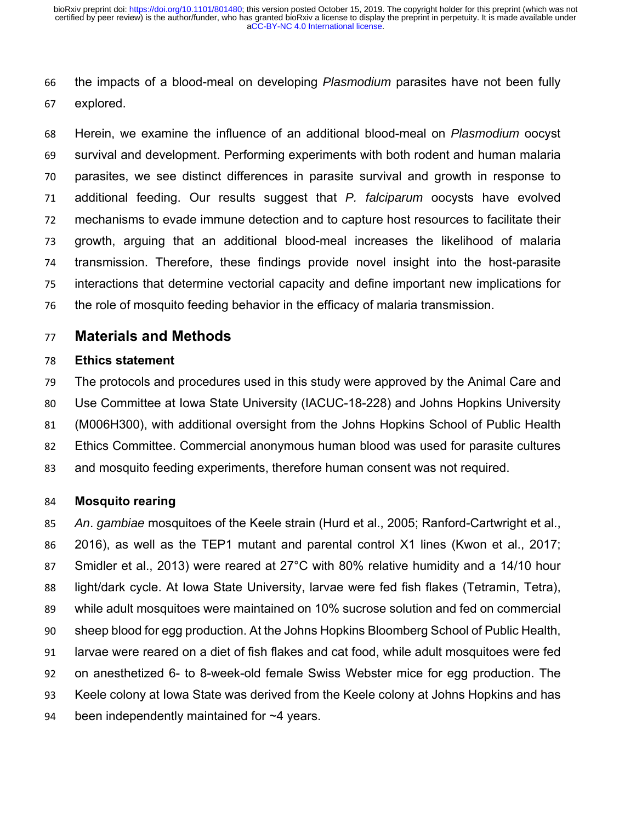the impacts of a blood-meal on developing *Plasmodium* parasites have not been fully explored.

 Herein, we examine the influence of an additional blood-meal on *Plasmodium* oocyst survival and development. Performing experiments with both rodent and human malaria parasites, we see distinct differences in parasite survival and growth in response to additional feeding. Our results suggest that *P. falciparum* oocysts have evolved mechanisms to evade immune detection and to capture host resources to facilitate their growth, arguing that an additional blood-meal increases the likelihood of malaria transmission. Therefore, these findings provide novel insight into the host-parasite interactions that determine vectorial capacity and define important new implications for the role of mosquito feeding behavior in the efficacy of malaria transmission.

# **Materials and Methods**

#### **Ethics statement**

 The protocols and procedures used in this study were approved by the Animal Care and Use Committee at Iowa State University (IACUC-18-228) and Johns Hopkins University (M006H300), with additional oversight from the Johns Hopkins School of Public Health Ethics Committee. Commercial anonymous human blood was used for parasite cultures and mosquito feeding experiments, therefore human consent was not required.

# **Mosquito rearing**

 *An*. *gambiae* mosquitoes of the Keele strain (Hurd et al., 2005; Ranford-Cartwright et al., 2016), as well as the TEP1 mutant and parental control X1 lines (Kwon et al., 2017; Smidler et al., 2013) were reared at 27°C with 80% relative humidity and a 14/10 hour light/dark cycle. At Iowa State University, larvae were fed fish flakes (Tetramin, Tetra), while adult mosquitoes were maintained on 10% sucrose solution and fed on commercial sheep blood for egg production. At the Johns Hopkins Bloomberg School of Public Health, larvae were reared on a diet of fish flakes and cat food, while adult mosquitoes were fed on anesthetized 6- to 8-week-old female Swiss Webster mice for egg production. The Keele colony at Iowa State was derived from the Keele colony at Johns Hopkins and has 94 been independently maintained for  $\sim$ 4 years.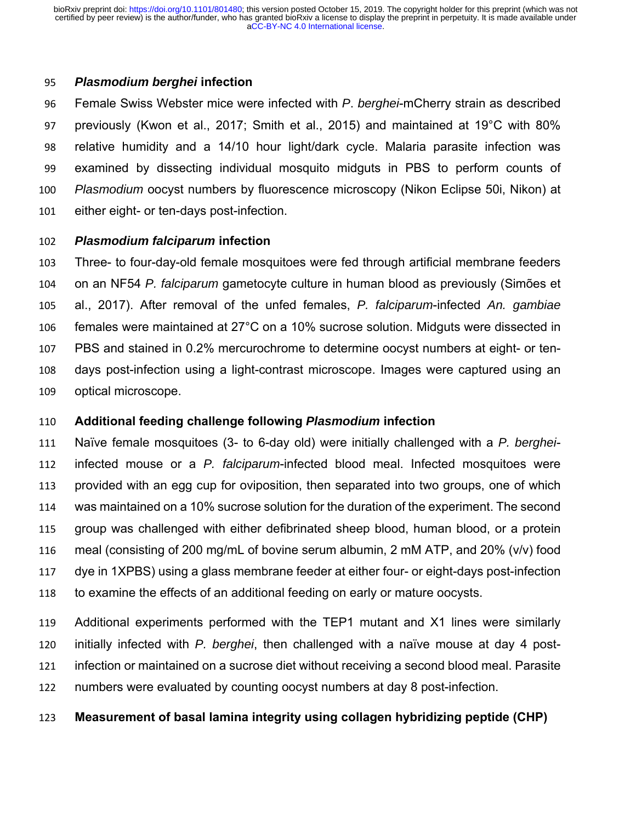#### *Plasmodium berghei* **infection**

 Female Swiss Webster mice were infected with *P*. *berghei*-mCherry strain as described previously (Kwon et al., 2017; Smith et al., 2015) and maintained at 19°C with 80% relative humidity and a 14/10 hour light/dark cycle. Malaria parasite infection was examined by dissecting individual mosquito midguts in PBS to perform counts of *Plasmodium* oocyst numbers by fluorescence microscopy (Nikon Eclipse 50i, Nikon) at either eight- or ten-days post-infection.

#### *Plasmodium falciparum* **infection**

 Three- to four-day-old female mosquitoes were fed through artificial membrane feeders on an NF54 *P. falciparum* gametocyte culture in human blood as previously (Simões et al., 2017). After removal of the unfed females, *P. falciparum*-infected *An. gambiae* females were maintained at 27°C on a 10% sucrose solution. Midguts were dissected in PBS and stained in 0.2% mercurochrome to determine oocyst numbers at eight- or ten- days post-infection using a light-contrast microscope. Images were captured using an optical microscope.

#### **Additional feeding challenge following** *Plasmodium* **infection**

 Naïve female mosquitoes (3- to 6-day old) were initially challenged with a *P. berghei*- infected mouse or a *P. falciparum*-infected blood meal. Infected mosquitoes were provided with an egg cup for oviposition, then separated into two groups, one of which was maintained on a 10% sucrose solution for the duration of the experiment. The second group was challenged with either defibrinated sheep blood, human blood, or a protein meal (consisting of 200 mg/mL of bovine serum albumin, 2 mM ATP, and 20% (v/v) food dye in 1XPBS) using a glass membrane feeder at either four- or eight-days post-infection to examine the effects of an additional feeding on early or mature oocysts.

 Additional experiments performed with the TEP1 mutant and X1 lines were similarly initially infected with *P. berghei*, then challenged with a naïve mouse at day 4 post- infection or maintained on a sucrose diet without receiving a second blood meal. Parasite numbers were evaluated by counting oocyst numbers at day 8 post-infection.

# **Measurement of basal lamina integrity using collagen hybridizing peptide (CHP)**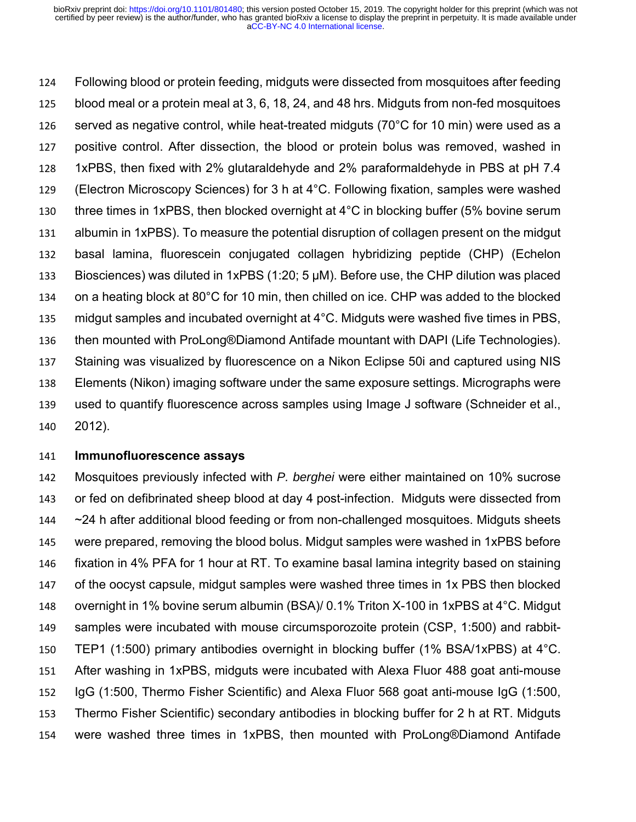Following blood or protein feeding, midguts were dissected from mosquitoes after feeding blood meal or a protein meal at 3, 6, 18, 24, and 48 hrs. Midguts from non-fed mosquitoes 126 served as negative control, while heat-treated midguts ( $70^{\circ}$ C for 10 min) were used as a positive control. After dissection, the blood or protein bolus was removed, washed in 1xPBS, then fixed with 2% glutaraldehyde and 2% paraformaldehyde in PBS at pH 7.4 (Electron Microscopy Sciences) for 3 h at 4°C. Following fixation, samples were washed three times in 1xPBS, then blocked overnight at 4°C in blocking buffer (5% bovine serum albumin in 1xPBS). To measure the potential disruption of collagen present on the midgut basal lamina, fluorescein conjugated collagen hybridizing peptide (CHP) (Echelon Biosciences) was diluted in 1xPBS (1:20; 5 µM). Before use, the CHP dilution was placed 134 on a heating block at 80°C for 10 min, then chilled on ice. CHP was added to the blocked midgut samples and incubated overnight at 4°C. Midguts were washed five times in PBS, then mounted with ProLong®Diamond Antifade mountant with DAPI (Life Technologies). Staining was visualized by fluorescence on a Nikon Eclipse 50i and captured using NIS Elements (Nikon) imaging software under the same exposure settings. Micrographs were used to quantify fluorescence across samples using Image J software (Schneider et al., 2012).

#### **Immunofluorescence assays**

 Mosquitoes previously infected with *P. berghei* were either maintained on 10% sucrose or fed on defibrinated sheep blood at day 4 post-infection. Midguts were dissected from ~24 h after additional blood feeding or from non-challenged mosquitoes. Midguts sheets were prepared, removing the blood bolus. Midgut samples were washed in 1xPBS before fixation in 4% PFA for 1 hour at RT. To examine basal lamina integrity based on staining of the oocyst capsule, midgut samples were washed three times in 1x PBS then blocked overnight in 1% bovine serum albumin (BSA)/ 0.1% Triton X-100 in 1xPBS at 4°C. Midgut samples were incubated with mouse circumsporozoite protein (CSP, 1:500) and rabbit- TEP1 (1:500) primary antibodies overnight in blocking buffer (1% BSA/1xPBS) at 4°C. After washing in 1xPBS, midguts were incubated with Alexa Fluor 488 goat anti-mouse IgG (1:500, Thermo Fisher Scientific) and Alexa Fluor 568 goat anti-mouse IgG (1:500, Thermo Fisher Scientific) secondary antibodies in blocking buffer for 2 h at RT. Midguts were washed three times in 1xPBS, then mounted with ProLong®Diamond Antifade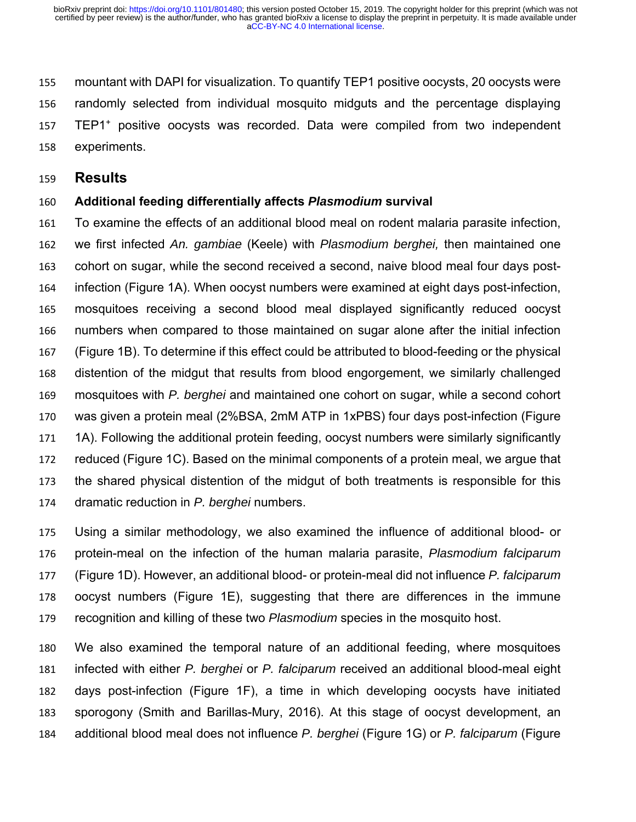mountant with DAPI for visualization. To quantify TEP1 positive oocysts, 20 oocysts were randomly selected from individual mosquito midguts and the percentage displaying 157 TEP1<sup>+</sup> positive oocysts was recorded. Data were compiled from two independent experiments.

#### **Results**

#### **Additional feeding differentially affects** *Plasmodium* **survival**

 To examine the effects of an additional blood meal on rodent malaria parasite infection, we first infected *An. gambiae* (Keele) with *Plasmodium berghei,* then maintained one cohort on sugar, while the second received a second, naive blood meal four days post- infection (Figure 1A). When oocyst numbers were examined at eight days post-infection, mosquitoes receiving a second blood meal displayed significantly reduced oocyst numbers when compared to those maintained on sugar alone after the initial infection (Figure 1B). To determine if this effect could be attributed to blood-feeding or the physical distention of the midgut that results from blood engorgement, we similarly challenged mosquitoes with *P. berghei* and maintained one cohort on sugar, while a second cohort was given a protein meal (2%BSA, 2mM ATP in 1xPBS) four days post-infection (Figure 1A). Following the additional protein feeding, oocyst numbers were similarly significantly reduced (Figure 1C). Based on the minimal components of a protein meal, we argue that the shared physical distention of the midgut of both treatments is responsible for this dramatic reduction in *P. berghei* numbers.

 Using a similar methodology, we also examined the influence of additional blood- or protein-meal on the infection of the human malaria parasite, *Plasmodium falciparum* (Figure 1D). However, an additional blood- or protein-meal did not influence *P. falciparum*  oocyst numbers (Figure 1E), suggesting that there are differences in the immune recognition and killing of these two *Plasmodium* species in the mosquito host.

 We also examined the temporal nature of an additional feeding, where mosquitoes infected with either *P. berghei* or *P. falciparum* received an additional blood-meal eight days post-infection (Figure 1F), a time in which developing oocysts have initiated sporogony (Smith and Barillas-Mury, 2016). At this stage of oocyst development, an additional blood meal does not influence *P. berghei* (Figure 1G) or *P. falciparum* (Figure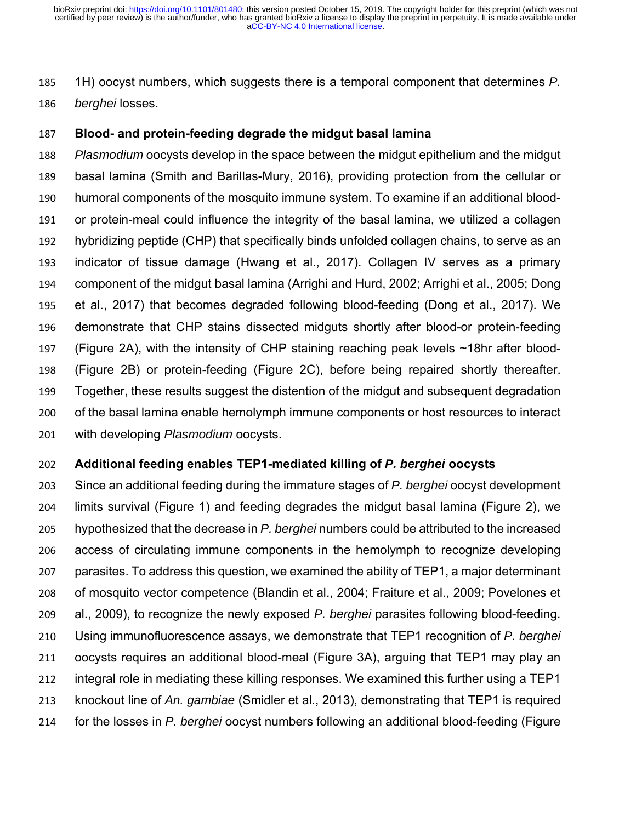1H) oocyst numbers, which suggests there is a temporal component that determines *P.* 

*berghei* losses.

# **Blood- and protein-feeding degrade the midgut basal lamina**

 *Plasmodium* oocysts develop in the space between the midgut epithelium and the midgut basal lamina (Smith and Barillas-Mury, 2016), providing protection from the cellular or humoral components of the mosquito immune system. To examine if an additional blood- or protein-meal could influence the integrity of the basal lamina, we utilized a collagen hybridizing peptide (CHP) that specifically binds unfolded collagen chains, to serve as an indicator of tissue damage (Hwang et al., 2017). Collagen IV serves as a primary component of the midgut basal lamina (Arrighi and Hurd, 2002; Arrighi et al., 2005; Dong et al., 2017) that becomes degraded following blood-feeding (Dong et al., 2017). We demonstrate that CHP stains dissected midguts shortly after blood-or protein-feeding (Figure 2A), with the intensity of CHP staining reaching peak levels ~18hr after blood- (Figure 2B) or protein-feeding (Figure 2C), before being repaired shortly thereafter. Together, these results suggest the distention of the midgut and subsequent degradation of the basal lamina enable hemolymph immune components or host resources to interact with developing *Plasmodium* oocysts.

# **Additional feeding enables TEP1-mediated killing of** *P. berghei* **oocysts**

 Since an additional feeding during the immature stages of *P. berghei* oocyst development limits survival (Figure 1) and feeding degrades the midgut basal lamina (Figure 2), we hypothesized that the decrease in *P. berghei* numbers could be attributed to the increased access of circulating immune components in the hemolymph to recognize developing parasites. To address this question, we examined the ability of TEP1, a major determinant of mosquito vector competence (Blandin et al., 2004; Fraiture et al., 2009; Povelones et al., 2009), to recognize the newly exposed *P. berghei* parasites following blood-feeding. Using immunofluorescence assays, we demonstrate that TEP1 recognition of *P. berghei*  oocysts requires an additional blood-meal (Figure 3A), arguing that TEP1 may play an integral role in mediating these killing responses. We examined this further using a TEP1 knockout line of *An. gambiae* (Smidler et al., 2013), demonstrating that TEP1 is required for the losses in *P. berghei* oocyst numbers following an additional blood-feeding (Figure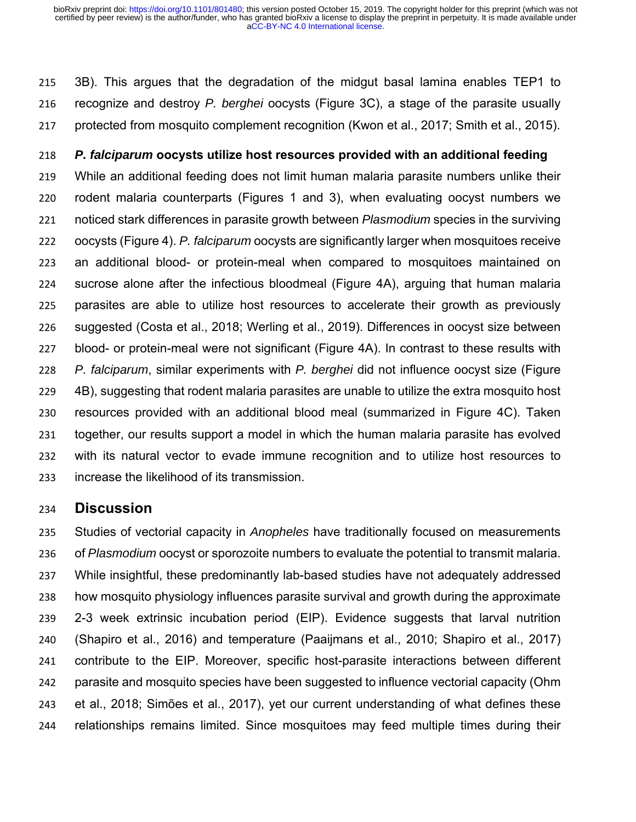3B). This argues that the degradation of the midgut basal lamina enables TEP1 to recognize and destroy *P. berghei* oocysts (Figure 3C), a stage of the parasite usually protected from mosquito complement recognition (Kwon et al., 2017; Smith et al., 2015).

#### *P. falciparum* **oocysts utilize host resources provided with an additional feeding**

 While an additional feeding does not limit human malaria parasite numbers unlike their rodent malaria counterparts (Figures 1 and 3), when evaluating oocyst numbers we noticed stark differences in parasite growth between *Plasmodium* species in the surviving oocysts (Figure 4). *P. falciparum* oocysts are significantly larger when mosquitoes receive an additional blood- or protein-meal when compared to mosquitoes maintained on sucrose alone after the infectious bloodmeal (Figure 4A), arguing that human malaria parasites are able to utilize host resources to accelerate their growth as previously suggested (Costa et al., 2018; Werling et al., 2019). Differences in oocyst size between blood- or protein-meal were not significant (Figure 4A). In contrast to these results with *P. falciparum*, similar experiments with *P. berghei* did not influence oocyst size (Figure 4B), suggesting that rodent malaria parasites are unable to utilize the extra mosquito host resources provided with an additional blood meal (summarized in Figure 4C). Taken together, our results support a model in which the human malaria parasite has evolved with its natural vector to evade immune recognition and to utilize host resources to increase the likelihood of its transmission.

# **Discussion**

 Studies of vectorial capacity in *Anopheles* have traditionally focused on measurements of *Plasmodium* oocyst or sporozoite numbers to evaluate the potential to transmit malaria. While insightful, these predominantly lab-based studies have not adequately addressed how mosquito physiology influences parasite survival and growth during the approximate 2-3 week extrinsic incubation period (EIP). Evidence suggests that larval nutrition (Shapiro et al., 2016) and temperature (Paaijmans et al., 2010; Shapiro et al., 2017) contribute to the EIP. Moreover, specific host-parasite interactions between different parasite and mosquito species have been suggested to influence vectorial capacity (Ohm et al., 2018; Simões et al., 2017), yet our current understanding of what defines these relationships remains limited. Since mosquitoes may feed multiple times during their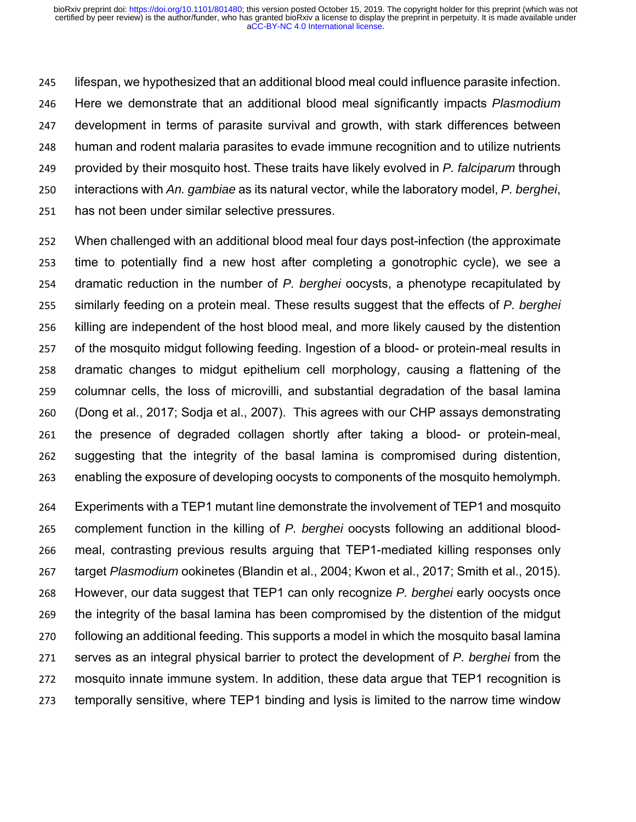lifespan, we hypothesized that an additional blood meal could influence parasite infection. Here we demonstrate that an additional blood meal significantly impacts *Plasmodium* development in terms of parasite survival and growth, with stark differences between human and rodent malaria parasites to evade immune recognition and to utilize nutrients provided by their mosquito host. These traits have likely evolved in *P. falciparum* through interactions with *An. gambiae* as its natural vector, while the laboratory model, *P. berghei*, has not been under similar selective pressures.

 When challenged with an additional blood meal four days post-infection (the approximate time to potentially find a new host after completing a gonotrophic cycle), we see a dramatic reduction in the number of *P. berghei* oocysts, a phenotype recapitulated by similarly feeding on a protein meal. These results suggest that the effects of *P. berghei* killing are independent of the host blood meal, and more likely caused by the distention of the mosquito midgut following feeding. Ingestion of a blood- or protein-meal results in dramatic changes to midgut epithelium cell morphology, causing a flattening of the columnar cells, the loss of microvilli, and substantial degradation of the basal lamina (Dong et al., 2017; Sodja et al., 2007). This agrees with our CHP assays demonstrating the presence of degraded collagen shortly after taking a blood- or protein-meal, suggesting that the integrity of the basal lamina is compromised during distention, enabling the exposure of developing oocysts to components of the mosquito hemolymph.

 Experiments with a TEP1 mutant line demonstrate the involvement of TEP1 and mosquito complement function in the killing of *P. berghei* oocysts following an additional blood- meal, contrasting previous results arguing that TEP1-mediated killing responses only target *Plasmodium* ookinetes (Blandin et al., 2004; Kwon et al., 2017; Smith et al., 2015). However, our data suggest that TEP1 can only recognize *P. berghei* early oocysts once the integrity of the basal lamina has been compromised by the distention of the midgut following an additional feeding. This supports a model in which the mosquito basal lamina serves as an integral physical barrier to protect the development of *P. berghei* from the mosquito innate immune system. In addition, these data argue that TEP1 recognition is temporally sensitive, where TEP1 binding and lysis is limited to the narrow time window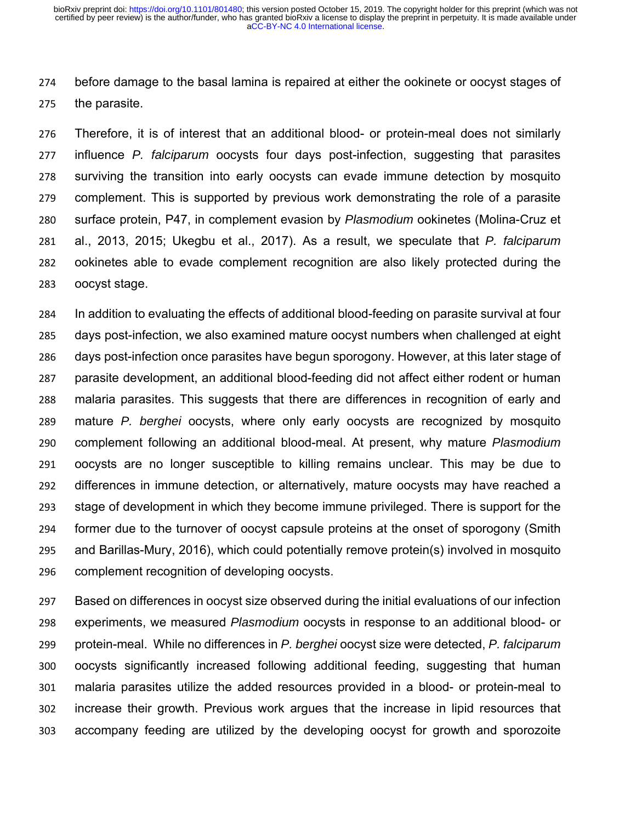before damage to the basal lamina is repaired at either the ookinete or oocyst stages of the parasite.

 Therefore, it is of interest that an additional blood- or protein-meal does not similarly influence *P. falciparum* oocysts four days post-infection, suggesting that parasites surviving the transition into early oocysts can evade immune detection by mosquito complement. This is supported by previous work demonstrating the role of a parasite surface protein, P47, in complement evasion by *Plasmodium* ookinetes (Molina-Cruz et al., 2013, 2015; Ukegbu et al., 2017). As a result, we speculate that *P. falciparum* ookinetes able to evade complement recognition are also likely protected during the oocyst stage.

 In addition to evaluating the effects of additional blood-feeding on parasite survival at four days post-infection, we also examined mature oocyst numbers when challenged at eight days post-infection once parasites have begun sporogony. However, at this later stage of parasite development, an additional blood-feeding did not affect either rodent or human malaria parasites. This suggests that there are differences in recognition of early and mature *P. berghei* oocysts, where only early oocysts are recognized by mosquito complement following an additional blood-meal. At present, why mature *Plasmodium*  oocysts are no longer susceptible to killing remains unclear. This may be due to differences in immune detection, or alternatively, mature oocysts may have reached a stage of development in which they become immune privileged. There is support for the former due to the turnover of oocyst capsule proteins at the onset of sporogony (Smith and Barillas-Mury, 2016), which could potentially remove protein(s) involved in mosquito complement recognition of developing oocysts.

 Based on differences in oocyst size observed during the initial evaluations of our infection experiments, we measured *Plasmodium* oocysts in response to an additional blood- or protein-meal. While no differences in *P. berghei* oocyst size were detected, *P. falciparum* oocysts significantly increased following additional feeding, suggesting that human malaria parasites utilize the added resources provided in a blood- or protein-meal to increase their growth. Previous work argues that the increase in lipid resources that accompany feeding are utilized by the developing oocyst for growth and sporozoite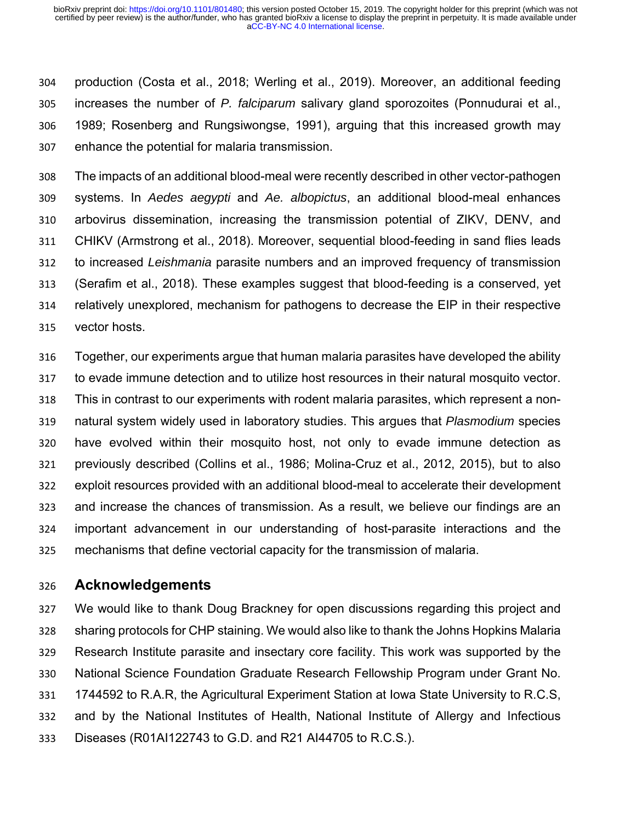production (Costa et al., 2018; Werling et al., 2019). Moreover, an additional feeding increases the number of *P. falciparum* salivary gland sporozoites (Ponnudurai et al., 1989; Rosenberg and Rungsiwongse, 1991), arguing that this increased growth may enhance the potential for malaria transmission.

 The impacts of an additional blood-meal were recently described in other vector-pathogen systems. In *Aedes aegypti* and *Ae. albopictus*, an additional blood-meal enhances arbovirus dissemination, increasing the transmission potential of ZIKV, DENV, and CHIKV (Armstrong et al., 2018). Moreover, sequential blood-feeding in sand flies leads to increased *Leishmania* parasite numbers and an improved frequency of transmission (Serafim et al., 2018). These examples suggest that blood-feeding is a conserved, yet relatively unexplored, mechanism for pathogens to decrease the EIP in their respective vector hosts.

 Together, our experiments argue that human malaria parasites have developed the ability to evade immune detection and to utilize host resources in their natural mosquito vector. This in contrast to our experiments with rodent malaria parasites, which represent a non- natural system widely used in laboratory studies. This argues that *Plasmodium* species have evolved within their mosquito host, not only to evade immune detection as previously described (Collins et al., 1986; Molina-Cruz et al., 2012, 2015), but to also exploit resources provided with an additional blood-meal to accelerate their development and increase the chances of transmission. As a result, we believe our findings are an important advancement in our understanding of host-parasite interactions and the mechanisms that define vectorial capacity for the transmission of malaria.

# **Acknowledgements**

 We would like to thank Doug Brackney for open discussions regarding this project and sharing protocols for CHP staining. We would also like to thank the Johns Hopkins Malaria Research Institute parasite and insectary core facility. This work was supported by the National Science Foundation Graduate Research Fellowship Program under Grant No. 1744592 to R.A.R, the Agricultural Experiment Station at Iowa State University to R.C.S, and by the National Institutes of Health, National Institute of Allergy and Infectious Diseases (R01AI122743 to G.D. and R21 AI44705 to R.C.S.).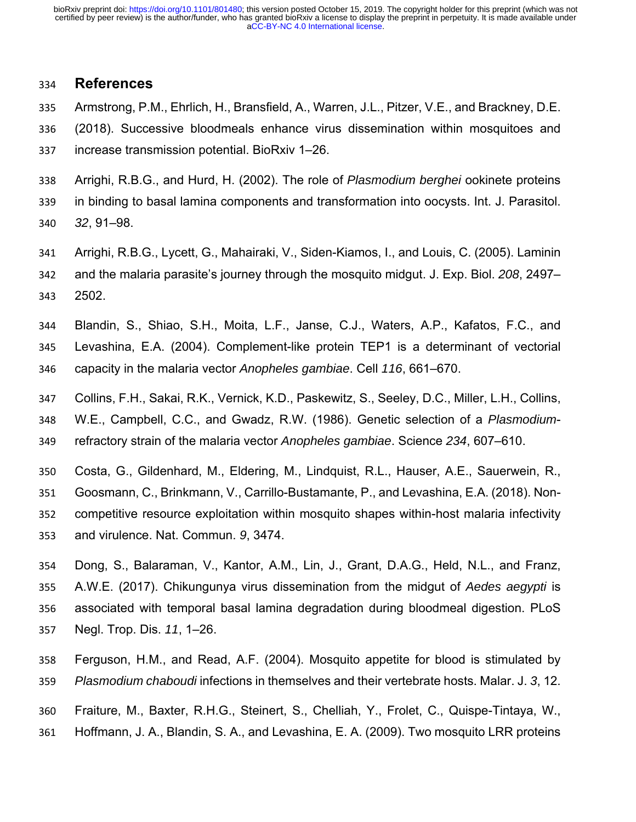#### **References**

- Armstrong, P.M., Ehrlich, H., Bransfield, A., Warren, J.L., Pitzer, V.E., and Brackney, D.E.
- (2018). Successive bloodmeals enhance virus dissemination within mosquitoes and increase transmission potential. BioRxiv 1–26.
- Arrighi, R.B.G., and Hurd, H. (2002). The role of *Plasmodium berghei* ookinete proteins in binding to basal lamina components and transformation into oocysts. Int. J. Parasitol. *32*, 91–98.
- Arrighi, R.B.G., Lycett, G., Mahairaki, V., Siden-Kiamos, I., and Louis, C. (2005). Laminin and the malaria parasite's journey through the mosquito midgut. J. Exp. Biol. *208*, 2497– 2502.
- Blandin, S., Shiao, S.H., Moita, L.F., Janse, C.J., Waters, A.P., Kafatos, F.C., and Levashina, E.A. (2004). Complement-like protein TEP1 is a determinant of vectorial capacity in the malaria vector *Anopheles gambiae*. Cell *116*, 661–670.
- Collins, F.H., Sakai, R.K., Vernick, K.D., Paskewitz, S., Seeley, D.C., Miller, L.H., Collins, W.E., Campbell, C.C., and Gwadz, R.W. (1986). Genetic selection of a *Plasmodium*-refractory strain of the malaria vector *Anopheles gambiae*. Science *234*, 607–610.
- Costa, G., Gildenhard, M., Eldering, M., Lindquist, R.L., Hauser, A.E., Sauerwein, R., Goosmann, C., Brinkmann, V., Carrillo-Bustamante, P., and Levashina, E.A. (2018). Non- competitive resource exploitation within mosquito shapes within-host malaria infectivity and virulence. Nat. Commun. *9*, 3474.
- Dong, S., Balaraman, V., Kantor, A.M., Lin, J., Grant, D.A.G., Held, N.L., and Franz, A.W.E. (2017). Chikungunya virus dissemination from the midgut of *Aedes aegypti* is associated with temporal basal lamina degradation during bloodmeal digestion. PLoS Negl. Trop. Dis. *11*, 1–26.
- Ferguson, H.M., and Read, A.F. (2004). Mosquito appetite for blood is stimulated by *Plasmodium chaboudi* infections in themselves and their vertebrate hosts. Malar. J. *3*, 12.
- Fraiture, M., Baxter, R.H.G., Steinert, S., Chelliah, Y., Frolet, C., Quispe-Tintaya, W., Hoffmann, J. A., Blandin, S. A., and Levashina, E. A. (2009). Two mosquito LRR proteins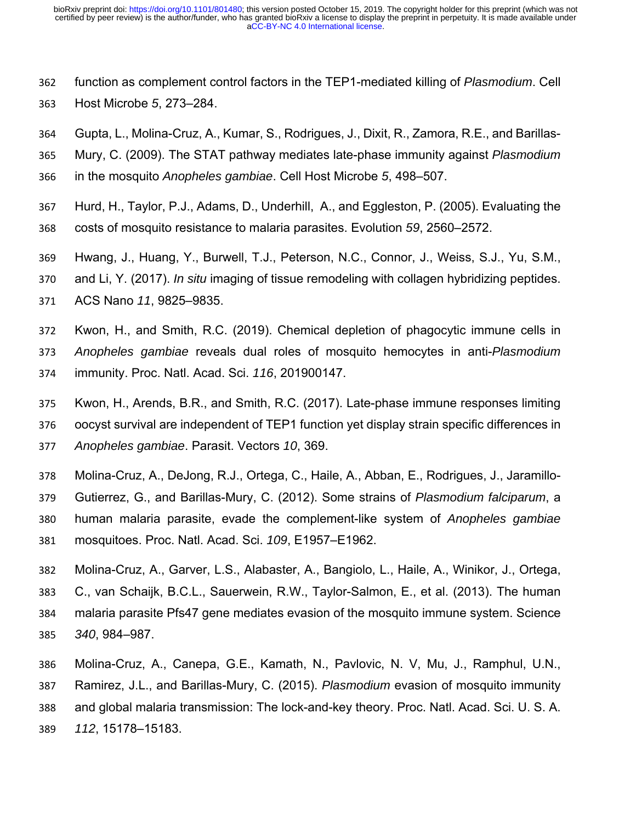- function as complement control factors in the TEP1-mediated killing of *Plasmodium*. Cell Host Microbe *5*, 273–284.
- Gupta, L., Molina-Cruz, A., Kumar, S., Rodrigues, J., Dixit, R., Zamora, R.E., and Barillas-
- Mury, C. (2009). The STAT pathway mediates late-phase immunity against *Plasmodium* in the mosquito *Anopheles gambiae*. Cell Host Microbe *5*, 498–507.
- 
- Hurd, H., Taylor, P.J., Adams, D., Underhill, A., and Eggleston, P. (2005). Evaluating the costs of mosquito resistance to malaria parasites. Evolution *59*, 2560–2572.
- Hwang, J., Huang, Y., Burwell, T.J., Peterson, N.C., Connor, J., Weiss, S.J., Yu, S.M.,
- and Li, Y. (2017). *In situ* imaging of tissue remodeling with collagen hybridizing peptides.
- ACS Nano *11*, 9825–9835.
- Kwon, H., and Smith, R.C. (2019). Chemical depletion of phagocytic immune cells in *Anopheles gambiae* reveals dual roles of mosquito hemocytes in anti-*Plasmodium* immunity. Proc. Natl. Acad. Sci. *116*, 201900147.
- Kwon, H., Arends, B.R., and Smith, R.C. (2017). Late-phase immune responses limiting oocyst survival are independent of TEP1 function yet display strain specific differences in *Anopheles gambiae*. Parasit. Vectors *10*, 369.
- Molina-Cruz, A., DeJong, R.J., Ortega, C., Haile, A., Abban, E., Rodrigues, J., Jaramillo- Gutierrez, G., and Barillas-Mury, C. (2012). Some strains of *Plasmodium falciparum*, a human malaria parasite, evade the complement-like system of *Anopheles gambiae* mosquitoes. Proc. Natl. Acad. Sci. *109*, E1957–E1962.
- Molina-Cruz, A., Garver, L.S., Alabaster, A., Bangiolo, L., Haile, A., Winikor, J., Ortega, C., van Schaijk, B.C.L., Sauerwein, R.W., Taylor-Salmon, E., et al. (2013). The human malaria parasite Pfs47 gene mediates evasion of the mosquito immune system. Science *340*, 984–987.
- Molina-Cruz, A., Canepa, G.E., Kamath, N., Pavlovic, N. V, Mu, J., Ramphul, U.N., Ramirez, J.L., and Barillas-Mury, C. (2015). *Plasmodium* evasion of mosquito immunity and global malaria transmission: The lock-and-key theory. Proc. Natl. Acad. Sci. U. S. A. *112*, 15178–15183.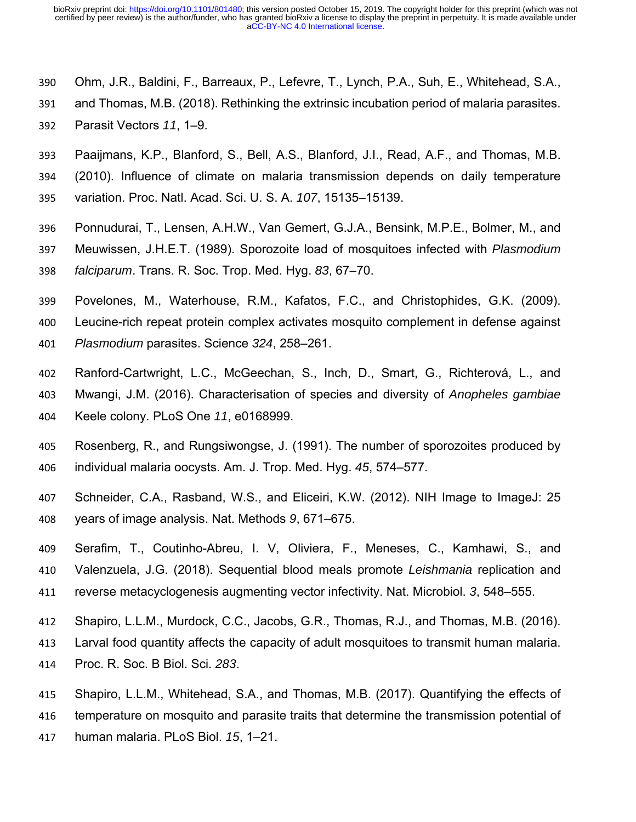- Ohm, J.R., Baldini, F., Barreaux, P., Lefevre, T., Lynch, P.A., Suh, E., Whitehead, S.A.,
- and Thomas, M.B. (2018). Rethinking the extrinsic incubation period of malaria parasites.
- Parasit Vectors *11*, 1–9.
- Paaijmans, K.P., Blanford, S., Bell, A.S., Blanford, J.I., Read, A.F., and Thomas, M.B.
- (2010). Influence of climate on malaria transmission depends on daily temperature
- variation. Proc. Natl. Acad. Sci. U. S. A. *107*, 15135–15139.
- Ponnudurai, T., Lensen, A.H.W., Van Gemert, G.J.A., Bensink, M.P.E., Bolmer, M., and Meuwissen, J.H.E.T. (1989). Sporozoite load of mosquitoes infected with *Plasmodium*
- *falciparum*. Trans. R. Soc. Trop. Med. Hyg. *83*, 67–70.
- Povelones, M., Waterhouse, R.M., Kafatos, F.C., and Christophides, G.K. (2009). Leucine-rich repeat protein complex activates mosquito complement in defense against
- *Plasmodium* parasites. Science *324*, 258–261.
- Ranford-Cartwright, L.C., McGeechan, S., Inch, D., Smart, G., Richterová, L., and Mwangi, J.M. (2016). Characterisation of species and diversity of *Anopheles gambiae* Keele colony. PLoS One *11*, e0168999.
- Rosenberg, R., and Rungsiwongse, J. (1991). The number of sporozoites produced by individual malaria oocysts. Am. J. Trop. Med. Hyg. *45*, 574–577.
- Schneider, C.A., Rasband, W.S., and Eliceiri, K.W. (2012). NIH Image to ImageJ: 25 years of image analysis. Nat. Methods *9*, 671–675.
- Serafim, T., Coutinho-Abreu, I. V, Oliviera, F., Meneses, C., Kamhawi, S., and Valenzuela, J.G. (2018). Sequential blood meals promote *Leishmania* replication and reverse metacyclogenesis augmenting vector infectivity. Nat. Microbiol. *3*, 548–555.
- Shapiro, L.L.M., Murdock, C.C., Jacobs, G.R., Thomas, R.J., and Thomas, M.B. (2016).
- Larval food quantity affects the capacity of adult mosquitoes to transmit human malaria.
- Proc. R. Soc. B Biol. Sci. *283*.
- Shapiro, L.L.M., Whitehead, S.A., and Thomas, M.B. (2017). Quantifying the effects of temperature on mosquito and parasite traits that determine the transmission potential of human malaria. PLoS Biol. *15*, 1–21.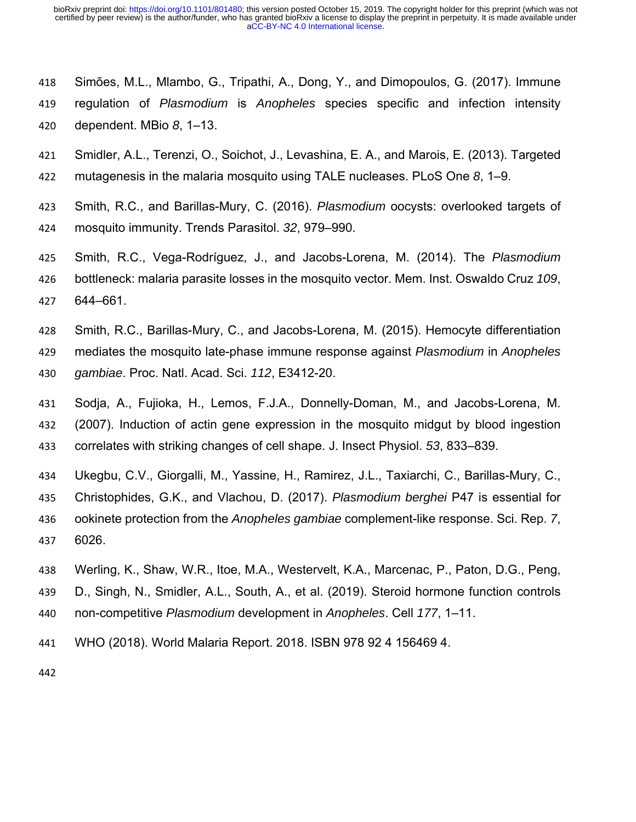- Simões, M.L., Mlambo, G., Tripathi, A., Dong, Y., and Dimopoulos, G. (2017). Immune
- regulation of *Plasmodium* is *Anopheles* species specific and infection intensity dependent. MBio *8*, 1–13.
- Smidler, A.L., Terenzi, O., Soichot, J., Levashina, E. A., and Marois, E. (2013). Targeted mutagenesis in the malaria mosquito using TALE nucleases. PLoS One *8*, 1–9.
- Smith, R.C., and Barillas-Mury, C. (2016). *Plasmodium* oocysts: overlooked targets of mosquito immunity. Trends Parasitol. *32*, 979–990.
- Smith, R.C., Vega-Rodríguez, J., and Jacobs-Lorena, M. (2014). The *Plasmodium* bottleneck: malaria parasite losses in the mosquito vector. Mem. Inst. Oswaldo Cruz *109*, 644–661.
- Smith, R.C., Barillas-Mury, C., and Jacobs-Lorena, M. (2015). Hemocyte differentiation mediates the mosquito late-phase immune response against *Plasmodium* in *Anopheles gambiae*. Proc. Natl. Acad. Sci. *112*, E3412-20.
- Sodja, A., Fujioka, H., Lemos, F.J.A., Donnelly-Doman, M., and Jacobs-Lorena, M. (2007). Induction of actin gene expression in the mosquito midgut by blood ingestion correlates with striking changes of cell shape. J. Insect Physiol. *53*, 833–839.
- Ukegbu, C.V., Giorgalli, M., Yassine, H., Ramirez, J.L., Taxiarchi, C., Barillas-Mury, C., Christophides, G.K., and Vlachou, D. (2017). *Plasmodium berghei* P47 is essential for ookinete protection from the *Anopheles gambiae* complement-like response. Sci. Rep. *7*, 6026.
- Werling, K., Shaw, W.R., Itoe, M.A., Westervelt, K.A., Marcenac, P., Paton, D.G., Peng, D., Singh, N., Smidler, A.L., South, A., et al. (2019). Steroid hormone function controls non-competitive *Plasmodium* development in *Anopheles*. Cell *177*, 1–11.
- WHO (2018). World Malaria Report. 2018. ISBN 978 92 4 156469 4.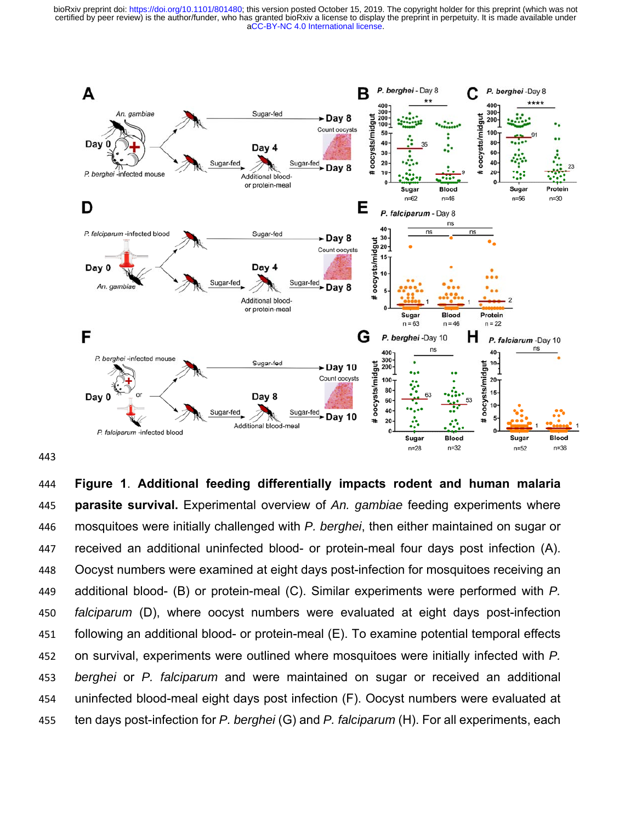

 **Figure 1**. **Additional feeding differentially impacts rodent and human malaria parasite survival.** Experimental overview of *An. gambiae* feeding experiments where mosquitoes were initially challenged with *P. berghei*, then either maintained on sugar or received an additional uninfected blood- or protein-meal four days post infection (A). Oocyst numbers were examined at eight days post-infection for mosquitoes receiving an additional blood- (B) or protein-meal (C). Similar experiments were performed with *P. falciparum* (D), where oocyst numbers were evaluated at eight days post-infection following an additional blood- or protein-meal (E). To examine potential temporal effects on survival, experiments were outlined where mosquitoes were initially infected with *P. berghei* or *P. falciparum* and were maintained on sugar or received an additional uninfected blood-meal eight days post infection (F). Oocyst numbers were evaluated at ten days post-infection for *P. berghei* (G) and *P. falciparum* (H). For all experiments, each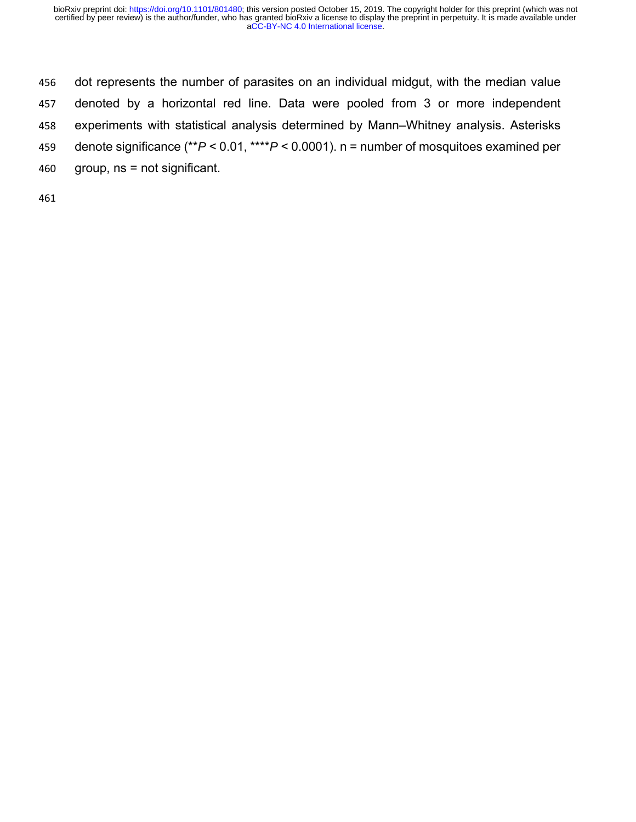dot represents the number of parasites on an individual midgut, with the median value denoted by a horizontal red line. Data were pooled from 3 or more independent experiments with statistical analysis determined by Mann–Whitney analysis. Asterisks denote significance (\*\**P* < 0.01, \*\*\*\**P* < 0.0001). n = number of mosquitoes examined per group, ns = not significant.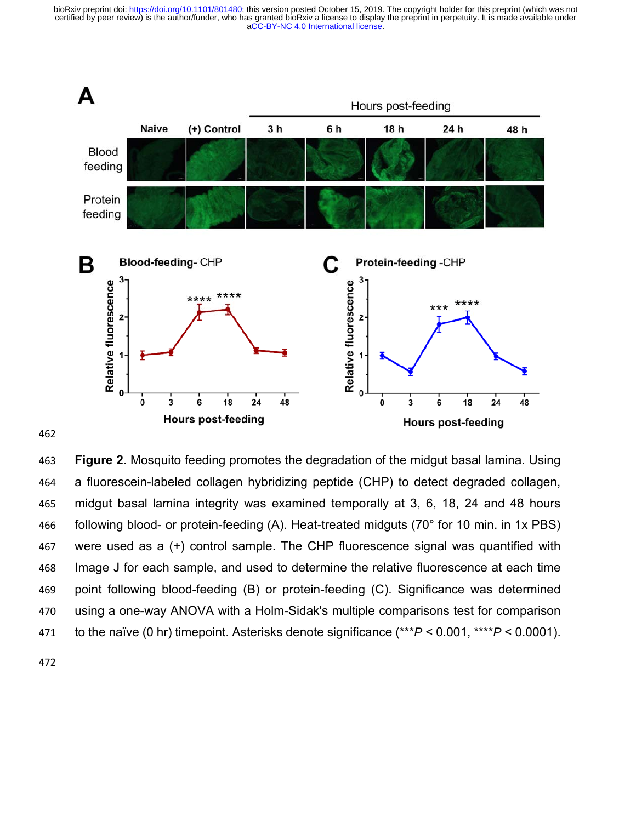

 **Figure 2**. Mosquito feeding promotes the degradation of the midgut basal lamina. Using a fluorescein-labeled collagen hybridizing peptide (CHP) to detect degraded collagen, midgut basal lamina integrity was examined temporally at 3, 6, 18, 24 and 48 hours following blood- or protein-feeding (A). Heat-treated midguts (70° for 10 min. in 1x PBS) were used as a (+) control sample. The CHP fluorescence signal was quantified with Image J for each sample, and used to determine the relative fluorescence at each time point following blood-feeding (B) or protein-feeding (C). Significance was determined using a one-way ANOVA with a Holm-Sidak's multiple comparisons test for comparison to the naïve (0 hr) timepoint. Asterisks denote significance (\*\*\**P* < 0.001, \*\*\*\**P* < 0.0001).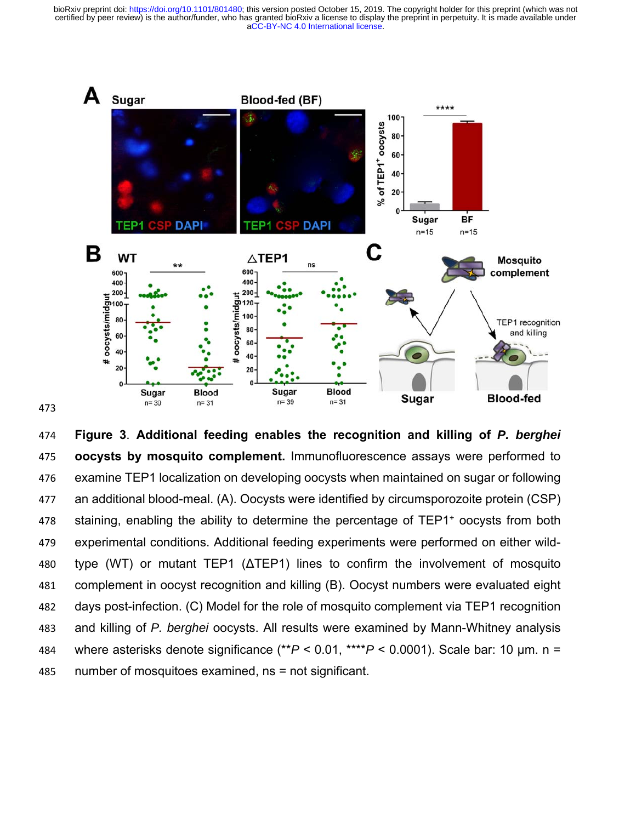

 **Figure 3**. **Additional feeding enables the recognition and killing of** *P. berghei* **oocysts by mosquito complement.** Immunofluorescence assays were performed to examine TEP1 localization on developing oocysts when maintained on sugar or following an additional blood-meal. (A). Oocysts were identified by circumsporozoite protein (CSP) 478 staining, enabling the ability to determine the percentage of TEP1<sup>+</sup> oocysts from both experimental conditions. Additional feeding experiments were performed on either wild- type (WT) or mutant TEP1 (ΔTEP1) lines to confirm the involvement of mosquito complement in oocyst recognition and killing (B). Oocyst numbers were evaluated eight days post-infection. (C) Model for the role of mosquito complement via TEP1 recognition and killing of *P. berghei* oocysts. All results were examined by Mann-Whitney analysis where asterisks denote significance (\*\**P* < 0.01, \*\*\*\**P* < 0.0001). Scale bar: 10 μm. n = number of mosquitoes examined, ns = not significant.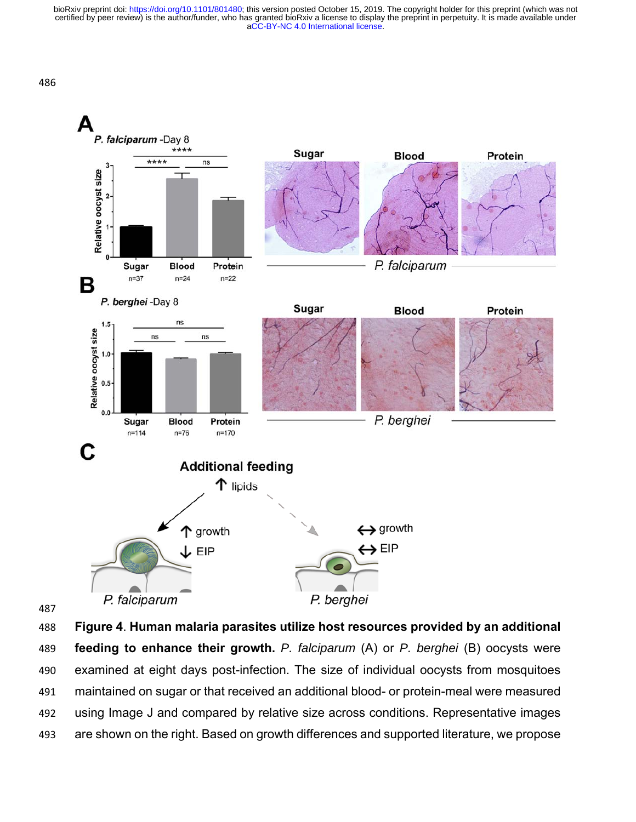



 **Figure 4**. **Human malaria parasites utilize host resources provided by an additional feeding to enhance their growth.** *P. falciparum* (A) or *P. berghei* (B) oocysts were examined at eight days post-infection. The size of individual oocysts from mosquitoes maintained on sugar or that received an additional blood- or protein-meal were measured using Image J and compared by relative size across conditions. Representative images are shown on the right. Based on growth differences and supported literature, we propose